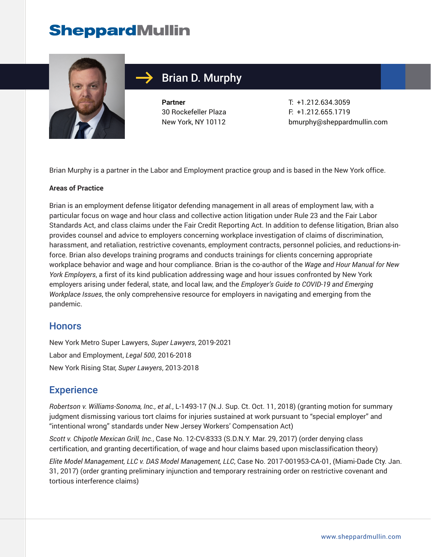

### Brian D. Murphy

**Partner** 30 Rockefeller Plaza New York, NY 10112

T: +1.212.634.3059 F: +1.212.655.1719 bmurphy@sheppardmullin.com

Brian Murphy is a partner in the Labor and Employment practice group and is based in the New York office.

#### **Areas of Practice**

Brian is an employment defense litigator defending management in all areas of employment law, with a particular focus on wage and hour class and collective action litigation under Rule 23 and the Fair Labor Standards Act, and class claims under the Fair Credit Reporting Act. In addition to defense litigation, Brian also provides counsel and advice to employers concerning workplace investigation of claims of discrimination, harassment, and retaliation, restrictive covenants, employment contracts, personnel policies, and reductions-inforce. Brian also develops training programs and conducts trainings for clients concerning appropriate workplace behavior and wage and hour compliance. Brian is the co-author of the *Wage and Hour Manual for New York Employers*, a first of its kind publication addressing wage and hour issues confronted by New York employers arising under federal, state, and local law, and the *Employer's Guide to COVID-19 and Emerging Workplace Issues*, the only comprehensive resource for employers in navigating and emerging from the pandemic.

#### **Honors**

New York Metro Super Lawyers, *Super Lawyers*, 2019-2021 Labor and Employment, *Legal 500*, 2016-2018 New York Rising Star, *Super Lawyers*, 2013-2018

#### **Experience**

*Robertson v. Williams-Sonoma, Inc., et al.*, L-1493-17 (N.J. Sup. Ct. Oct. 11, 2018) (granting motion for summary judgment dismissing various tort claims for injuries sustained at work pursuant to "special employer" and "intentional wrong" standards under New Jersey Workers' Compensation Act)

*Scott v. Chipotle Mexican Grill, Inc.*, Case No. 12-CV-8333 (S.D.N.Y. Mar. 29, 2017) (order denying class certification, and granting decertification, of wage and hour claims based upon misclassification theory)

*Elite Model Management, LLC v. DAS Model Management, LLC*, Case No. 2017-001953-CA-01, (Miami-Dade Cty. Jan. 31, 2017) (order granting preliminary injunction and temporary restraining order on restrictive covenant and tortious interference claims)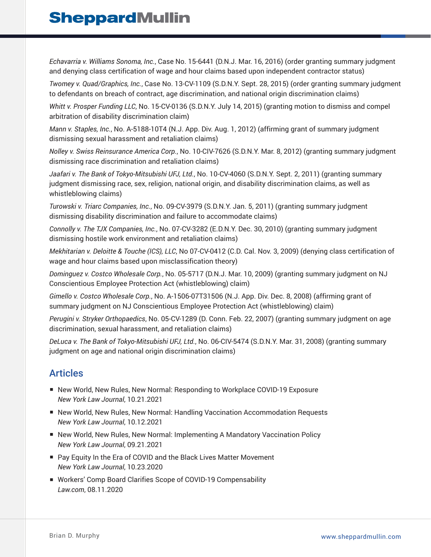*Echavarria v. Williams Sonoma, Inc.*, Case No. 15-6441 (D.N.J. Mar. 16, 2016) (order granting summary judgment and denying class certification of wage and hour claims based upon independent contractor status)

*Twomey v. Quad/Graphics, Inc.*, Case No. 13-CV-1109 (S.D.N.Y. Sept. 28, 2015) (order granting summary judgment to defendants on breach of contract, age discrimination, and national origin discrimination claims)

*Whitt v. Prosper Funding LLC*, No. 15-CV-0136 (S.D.N.Y. July 14, 2015) (granting motion to dismiss and compel arbitration of disability discrimination claim)

*Mann v. Staples, Inc.*, No. A-5188-10T4 (N.J. App. Div. Aug. 1, 2012) (affirming grant of summary judgment dismissing sexual harassment and retaliation claims)

*Nolley v. Swiss Reinsurance America Corp.*, No. 10-CIV-7626 (S.D.N.Y. Mar. 8, 2012) (granting summary judgment dismissing race discrimination and retaliation claims)

*Jaafari v. The Bank of Tokyo-Mitsubishi UFJ, Ltd.*, No. 10-CV-4060 (S.D.N.Y. Sept. 2, 2011) (granting summary judgment dismissing race, sex, religion, national origin, and disability discrimination claims, as well as whistleblowing claims)

*Turowski v. Triarc Companies, Inc.*, No. 09-CV-3979 (S.D.N.Y. Jan. 5, 2011) (granting summary judgment dismissing disability discrimination and failure to accommodate claims)

*Connolly v. The TJX Companies, Inc.*, No. 07-CV-3282 (E.D.N.Y. Dec. 30, 2010) (granting summary judgment dismissing hostile work environment and retaliation claims)

*Mekhitarian v. Deloitte & Touche (ICS), LLC*, No 07-CV-0412 (C.D. Cal. Nov. 3, 2009) (denying class certification of wage and hour claims based upon misclassification theory)

*Dominguez v. Costco Wholesale Corp.*, No. 05-5717 (D.N.J. Mar. 10, 2009) (granting summary judgment on NJ Conscientious Employee Protection Act (whistleblowing) claim)

*Gimello v. Costco Wholesale Corp.*, No. A-1506-07T31506 (N.J. App. Div. Dec. 8, 2008) (affirming grant of summary judgment on NJ Conscientious Employee Protection Act (whistleblowing) claim)

*Perugini v. Stryker Orthopaedics*, No. 05-CV-1289 (D. Conn. Feb. 22, 2007) (granting summary judgment on age discrimination, sexual harassment, and retaliation claims)

*DeLuca v. The Bank of Tokyo-Mitsubishi UFJ, Ltd.*, No. 06-CIV-5474 (S.D.N.Y. Mar. 31, 2008) (granting summary judgment on age and national origin discrimination claims)

### Articles

- New World, New Rules, New Normal: Responding to Workplace COVID-19 Exposure *New York Law Journal*, 10.21.2021
- New World, New Rules, New Normal: Handling Vaccination Accommodation Requests *New York Law Journal*, 10.12.2021
- New World, New Rules, New Normal: Implementing A Mandatory Vaccination Policy *New York Law Journal*, 09.21.2021
- Pay Equity In the Era of COVID and the Black Lives Matter Movement *New York Law Journal*, 10.23.2020
- Workers' Comp Board Clarifies Scope of COVID-19 Compensability *Law.com*, 08.11.2020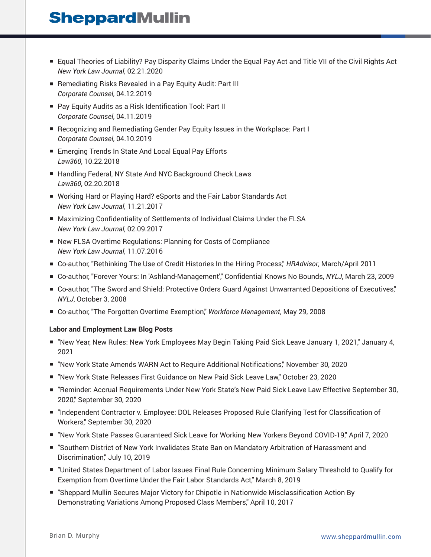- Equal Theories of Liability? Pay Disparity Claims Under the Equal Pay Act and Title VII of the Civil Rights Act *New York Law Journal*, 02.21.2020
- Remediating Risks Revealed in a Pay Equity Audit: Part III *Corporate Counsel*, 04.12.2019
- Pay Equity Audits as a Risk Identification Tool: Part II *Corporate Counsel*, 04.11.2019
- Recognizing and Remediating Gender Pay Equity Issues in the Workplace: Part I *Corporate Counsel*, 04.10.2019
- Emerging Trends In State And Local Equal Pay Efforts *Law360*, 10.22.2018
- Handling Federal, NY State And NYC Background Check Laws *Law360*, 02.20.2018
- Working Hard or Playing Hard? eSports and the Fair Labor Standards Act *New York Law Journal*, 11.21.2017
- Maximizing Confidentiality of Settlements of Individual Claims Under the FLSA *New York Law Journal*, 02.09.2017
- New FLSA Overtime Regulations: Planning for Costs of Compliance *New York Law Journal*, 11.07.2016
- Co-author, "Rethinking The Use of Credit Histories In the Hiring Process," *HRAdvisor*, March/April 2011
- Co-author, "Forever Yours: In 'Ashland-Management'," Confidential Knows No Bounds, *NYLJ*, March 23, 2009
- Co-author, "The Sword and Shield: Protective Orders Guard Against Unwarranted Depositions of Executives," *NYLJ*, October 3, 2008
- Co-author, "The Forgotten Overtime Exemption," *Workforce Management*, May 29, 2008

#### **Labor and Employment Law Blog Posts**

- "New Year, New Rules: New York Employees May Begin Taking Paid Sick Leave January 1, 2021," January 4, 2021
- "New York State Amends WARN Act to Require Additional Notifications," November 30, 2020
- "New York State Releases First Guidance on New Paid Sick Leave Law," October 23, 2020
- "Reminder: Accrual Requirements Under New York State's New Paid Sick Leave Law Effective September 30, 2020," September 30, 2020
- "Independent Contractor v. Employee: DOL Releases Proposed Rule Clarifying Test for Classification of Workers," September 30, 2020
- "New York State Passes Guaranteed Sick Leave for Working New Yorkers Beyond COVID-19," April 7, 2020
- "Southern District of New York Invalidates State Ban on Mandatory Arbitration of Harassment and Discrimination," July 10, 2019
- "United States Department of Labor Issues Final Rule Concerning Minimum Salary Threshold to Qualify for Exemption from Overtime Under the Fair Labor Standards Act," March 8, 2019
- "Sheppard Mullin Secures Major Victory for Chipotle in Nationwide Misclassification Action By Demonstrating Variations Among Proposed Class Members," April 10, 2017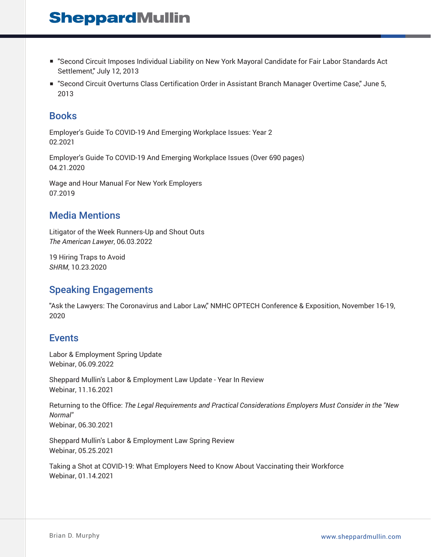- "Second Circuit Imposes Individual Liability on New York Mayoral Candidate for Fair Labor Standards Act Settlement," July 12, 2013
- "Second Circuit Overturns Class Certification Order in Assistant Branch Manager Overtime Case," June 5, 2013

### Books

Employer's Guide To COVID-19 And Emerging Workplace Issues: Year 2 02.2021

Employer's Guide To COVID-19 And Emerging Workplace Issues (Over 690 pages) 04.21.2020

Wage and Hour Manual For New York Employers 07.2019

#### Media Mentions

Litigator of the Week Runners-Up and Shout Outs *The American Lawyer*, 06.03.2022

19 Hiring Traps to Avoid *SHRM*, 10.23.2020

### Speaking Engagements

"Ask the Lawyers: The Coronavirus and Labor Law," NMHC OPTECH Conference & Exposition, November 16-19, 2020

#### **Events**

Labor & Employment Spring Update Webinar, 06.09.2022

Sheppard Mullin's Labor & Employment Law Update - Year In Review Webinar, 11.16.2021

Returning to the Office: *The Legal Requirements and Practical Considerations Employers Must Consider in the "New Normal"* Webinar, 06.30.2021

Sheppard Mullin's Labor & Employment Law Spring Review Webinar, 05.25.2021

Taking a Shot at COVID-19: What Employers Need to Know About Vaccinating their Workforce Webinar, 01.14.2021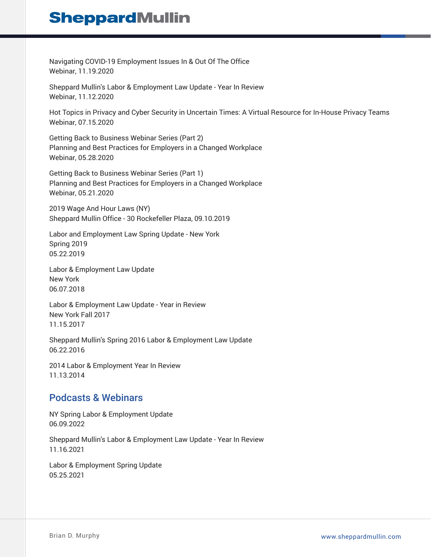Navigating COVID-19 Employment Issues In & Out Of The Office Webinar, 11.19.2020

Sheppard Mullin's Labor & Employment Law Update - Year In Review Webinar, 11.12.2020

Hot Topics in Privacy and Cyber Security in Uncertain Times: A Virtual Resource for In-House Privacy Teams Webinar, 07.15.2020

Getting Back to Business Webinar Series (Part 2) Planning and Best Practices for Employers in a Changed Workplace Webinar, 05.28.2020

Getting Back to Business Webinar Series (Part 1) Planning and Best Practices for Employers in a Changed Workplace Webinar, 05.21.2020

2019 Wage And Hour Laws (NY) Sheppard Mullin Office - 30 Rockefeller Plaza, 09.10.2019

Labor and Employment Law Spring Update - New York Spring 2019 05.22.2019

Labor & Employment Law Update New York 06.07.2018

Labor & Employment Law Update - Year in Review New York Fall 2017 11.15.2017

Sheppard Mullin's Spring 2016 Labor & Employment Law Update 06.22.2016

2014 Labor & Employment Year In Review 11.13.2014

### Podcasts & Webinars

NY Spring Labor & Employment Update 06.09.2022

Sheppard Mullin's Labor & Employment Law Update - Year In Review 11.16.2021

Labor & Employment Spring Update 05.25.2021